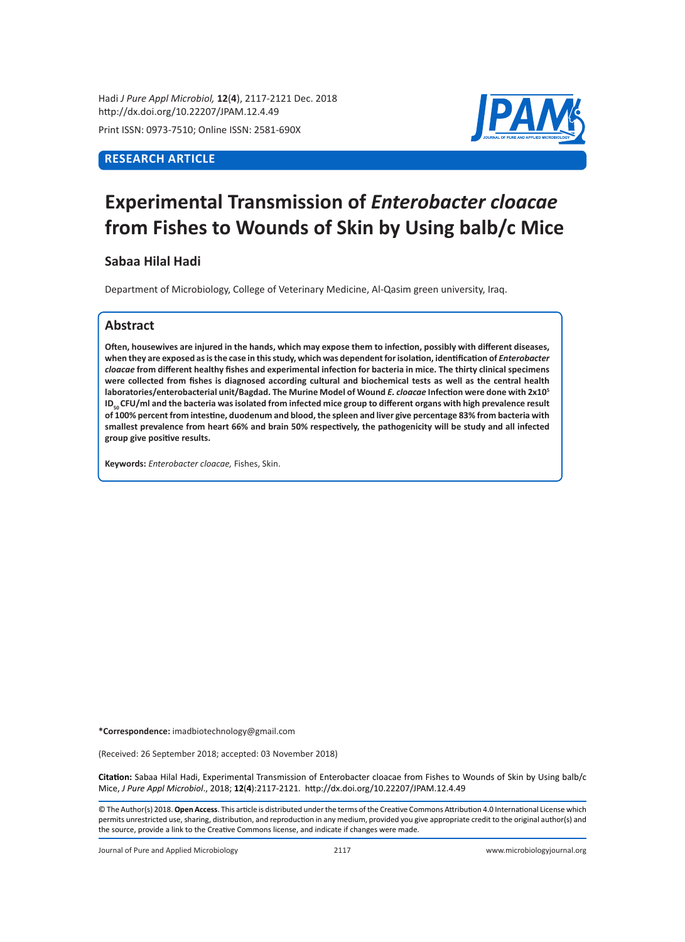Hadi *J Pure Appl Microbiol,* **12**(**4**), 2117-2121 Dec. 2018 http://dx.doi.org/10.22207/JPAM.12.4.49

Print ISSN: 0973-7510; Online ISSN: 2581-690X

# **RESEARCH ARTICLE**



# **Experimental Transmission of** *Enterobacter cloacae* **from Fishes to Wounds of Skin by Using balb/c Mice**

## **Sabaa Hilal Hadi**

Department of Microbiology, College of Veterinary Medicine, Al-Qasim green university, Iraq.

## **Abstract**

**Often, housewives are injured in the hands, which may expose them to infection, possibly with different diseases,**  when they are exposed as is the case in this study, which was dependent for isolation, identification of *Enterobacter cloacae* **from different healthy fishes and experimental infection for bacteria in mice. The thirty clinical specimens were collected from fishes is diagnosed according cultural and biochemical tests as well as the central health laboratories/enterobacterial unit/Bagdad. The Murine Model of Wound** *E. cloacae* **Infection were done with 2x10<sup>5</sup> ID50 CFU/ml and the bacteria was isolated from infected mice group to different organs with high prevalence result of 100% percent from intestine, duodenum and blood, the spleen and liver give percentage 83% from bacteria with smallest prevalence from heart 66% and brain 50% respectively, the pathogenicity will be study and all infected group give positive results.**

**Keywords:** *Enterobacter cloacae,* Fishes, Skin.

**\*Correspondence:** imadbiotechnology@gmail.com

(Received: 26 September 2018; accepted: 03 November 2018)

**Citation:** Sabaa Hilal Hadi, Experimental Transmission of Enterobacter cloacae from Fishes to Wounds of Skin by Using balb/c Mice, *J Pure Appl Microbiol*., 2018; **12**(**4**):2117-2121. http://dx.doi.org/10.22207/JPAM.12.4.49

© The Author(s) 2018. **Open Access**. This article is distributed under the terms of the Creative Commons Attribution 4.0 International License which permits unrestricted use, sharing, distribution, and reproduction in any medium, provided you give appropriate credit to the original author(s) and the source, provide a link to the Creative Commons license, and indicate if changes were made.

Journal of Pure and Applied Microbiology 2117 www.microbiologyjournal.org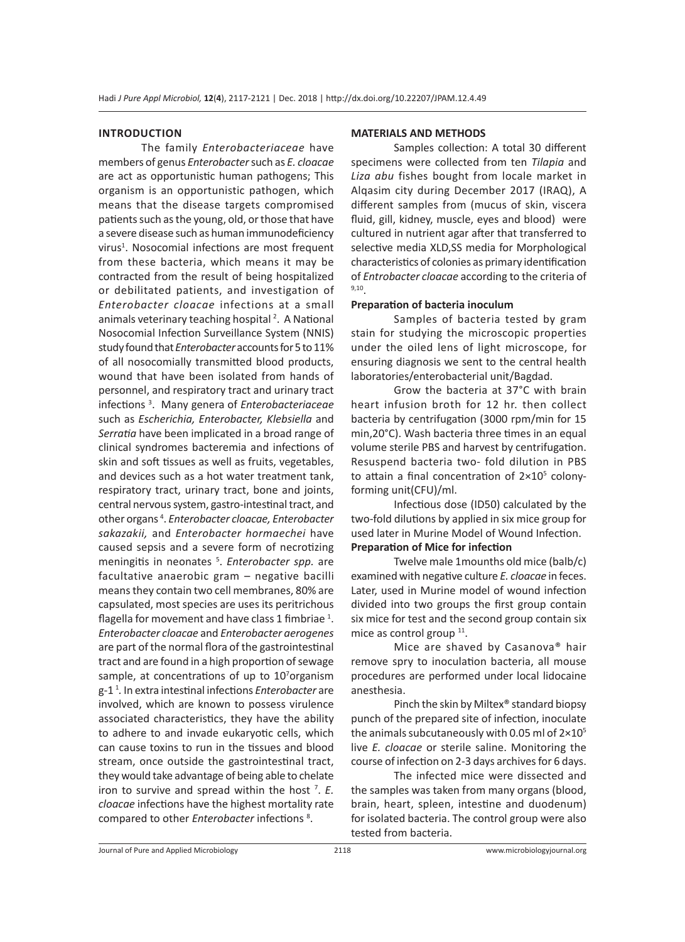### **INTRODUCTION**

The family *Enterobacteriaceae* have members of genus *Enterobacter* such as *E. cloacae* are act as opportunistic human pathogens; This organism is an opportunistic pathogen, which means that the disease targets compromised patients such as the young, old, or those that have a severe disease such as human immunodeficiency virus<sup>1</sup>. Nosocomial infections are most frequent from these bacteria, which means it may be contracted from the result of being hospitalized or debilitated patients, and investigation of *Enterobacter cloacae* infections at a small animals veterinary teaching hospital<sup>2</sup>. A National Nosocomial Infection Surveillance System (NNIS) study found that *Enterobacter* accounts for 5 to 11% of all nosocomially transmitted blood products, wound that have been isolated from hands of personnel, and respiratory tract and urinary tract infections <sup>3</sup> . Many genera of *Enterobacteriaceae*  such as *Escherichia, Enterobacter, Klebsiella* and *Serratia* have been implicated in a broad range of clinical syndromes bacteremia and infections of skin and soft tissues as well as fruits, vegetables, and devices such as a hot water treatment tank, respiratory tract, urinary tract, bone and joints, central nervous system, gastro-intestinal tract, and other organs <sup>4</sup> . *Enterobacter cloacae, Enterobacter sakazakii,* and *Enterobacter hormaechei* have caused sepsis and a severe form of necrotizing meningitis in neonates 5 . *Enterobacter spp.* are facultative anaerobic gram – negative bacilli means they contain two cell membranes, 80% are capsulated, most species are uses its peritrichous flagella for movement and have class 1 fimbriae  $^1$ . *Enterobacter cloacae* and *Enterobacter aerogenes*  are part of the normal flora of the gastrointestinal tract and are found in a high proportion of sewage sample, at concentrations of up to 10<sup>7</sup>organism g-1 1 *.* In extra intestinal infections *Enterobacter* are involved, which are known to possess virulence associated characteristics, they have the ability to adhere to and invade eukaryotic cells, which can cause toxins to run in the tissues and blood stream, once outside the gastrointestinal tract, they would take advantage of being able to chelate iron to survive and spread within the host <sup>7</sup> . *E. cloacae* infections have the highest mortality rate compared to other *Enterobacter* infections <sup>8</sup> .

#### **MATERIALS AND METHODS**

Samples collection: A total 30 different specimens were collected from ten *Tilapia* and *Liza abu* fishes bought from locale market in Alqasim city during December 2017 (IRAQ), A different samples from (mucus of skin, viscera fluid, gill, kidney, muscle, eyes and blood) were cultured in nutrient agar after that transferred to selective media XLD,SS media for Morphological characteristics of colonies as primary identification of *Entrobacter cloacae* according to the criteria of 9,10.

#### **Preparation of bacteria inoculum**

Samples of bacteria tested by gram stain for studying the microscopic properties under the oiled lens of light microscope, for ensuring diagnosis we sent to the central health laboratories/enterobacterial unit/Bagdad.

Grow the bacteria at 37°C with brain heart infusion broth for 12 hr. then collect bacteria by centrifugation (3000 rpm/min for 15 min,20°C). Wash bacteria three times in an equal volume sterile PBS and harvest by centrifugation. Resuspend bacteria two- fold dilution in PBS to attain a final concentration of  $2\times10^5$  colonyforming unit(CFU)/ml.

Infectious dose (ID50) calculated by the two-fold dilutions by applied in six mice group for used later in Murine Model of Wound Infection. **Preparation of Mice for infection**

Twelve male 1mounths old mice (balb/c) examined with negative culture *E. cloacae* in feces. Later, used in Murine model of wound infection divided into two groups the first group contain six mice for test and the second group contain six mice as control group <sup>11</sup>.

Mice are shaved by Casanova® hair remove spry to inoculation bacteria, all mouse procedures are performed under local lidocaine anesthesia.

Pinch the skin by Miltex® standard biopsy punch of the prepared site of infection, inoculate the animals subcutaneously with 0.05 ml of  $2\times10^{5}$ live *E. cloacae* or sterile saline. Monitoring the course of infection on 2-3 days archives for 6 days.

The infected mice were dissected and the samples was taken from many organs (blood, brain, heart, spleen, intestine and duodenum) for isolated bacteria. The control group were also tested from bacteria.

Journal of Pure and Applied Microbiology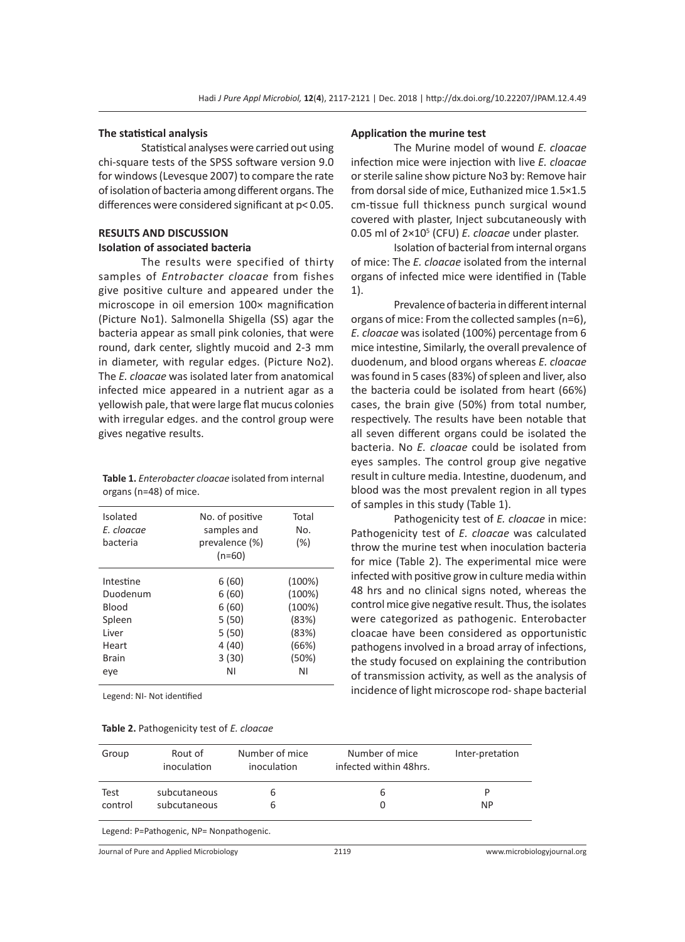#### **The statistical analysis**

Statistical analyses were carried out using chi-square tests of the SPSS software version 9.0 for windows (Levesque 2007) to compare the rate of isolation of bacteria among different organs. The differences were considered significant at p< 0.05.

## **RESULTS AND DISCUSSION Isolation of associated bacteria**

The results were specified of thirty samples of *Entrobacter cloacae* from fishes give positive culture and appeared under the microscope in oil emersion 100× magnification (Picture No1). Salmonella Shigella (SS) agar the bacteria appear as small pink colonies, that were round, dark center, slightly mucoid and 2-3 mm in diameter, with regular edges. (Picture No2). The *E. cloacae* was isolated later from anatomical infected mice appeared in a nutrient agar as a yellowish pale, that were large flat mucus colonies with irregular edges. and the control group were gives negative results.

| <b>Table 1.</b> Enterobacter cloacae isolated from internal |
|-------------------------------------------------------------|
| organs (n=48) of mice.                                      |

| Isolated<br>E. cloacae<br>bacteria                                          | No. of positive<br>samples and<br>prevalence (%)<br>$(n=60)$       | Total<br>No.<br>(%)                                                  |
|-----------------------------------------------------------------------------|--------------------------------------------------------------------|----------------------------------------------------------------------|
| Intestine<br>Duodenum<br>Blood<br>Spleen<br>l iver<br>Heart<br>Brain<br>eve | 6(60)<br>6(60)<br>6(60)<br>5(50)<br>5(50)<br>4 (40)<br>3(30)<br>ΝI | (100%)<br>(100%)<br>(100%)<br>(83%)<br>(83%)<br>(66%)<br>(50%)<br>ΝI |
|                                                                             |                                                                    |                                                                      |

Legend: NI- Not identified

#### **Table 2.** Pathogenicity test of *E. cloacae*

#### **Application the murine test**

The Murine model of wound *E. cloacae* infection mice were injection with live *E. cloacae* or sterile saline show picture No3 by: Remove hair from dorsal side of mice, Euthanized mice 1.5×1.5 cm-tissue full thickness punch surgical wound covered with plaster, Inject subcutaneously with 0.05 ml of 2×105 (CFU) *E. cloacae* under plaster.

Isolation of bacterial from internal organs of mice: The *E. cloacae* isolated from the internal organs of infected mice were identified in (Table 1).

Prevalence of bacteria in different internal organs of mice: From the collected samples (n=6), *E. cloacae* was isolated (100%) percentage from 6 mice intestine, Similarly, the overall prevalence of duodenum, and blood organs whereas *E. cloacae* was found in 5 cases (83%) of spleen and liver, also the bacteria could be isolated from heart (66%) cases, the brain give (50%) from total number, respectively. The results have been notable that all seven different organs could be isolated the bacteria. No *E. cloacae* could be isolated from eyes samples. The control group give negative result in culture media. Intestine, duodenum, and blood was the most prevalent region in all types of samples in this study (Table 1).

Pathogenicity test of *E. cloacae* in mice: Pathogenicity test of *E. cloacae* was calculated throw the murine test when inoculation bacteria for mice (Table 2). The experimental mice were infected with positive grow in culture media within 48 hrs and no clinical signs noted, whereas the control mice give negative result. Thus, the isolates were categorized as pathogenic. Enterobacter cloacae have been considered as opportunistic pathogens involved in a broad array of infections, the study focused on explaining the contribution of transmission activity, as well as the analysis of incidence of light microscope rod- shape bacterial

| Group   | Rout of<br>inoculation                   | Number of mice<br>inoculation | Number of mice<br>infected within 48hrs. | Inter-pretation             |
|---------|------------------------------------------|-------------------------------|------------------------------------------|-----------------------------|
| Test    | subcutaneous                             | b                             | 6                                        | P                           |
| control | subcutaneous                             | 6                             | 0                                        | NP.                         |
|         | Legend: P=Pathogenic, NP= Nonpathogenic. |                               |                                          |                             |
|         | Journal of Pure and Applied Microbiology |                               | 2119                                     | www.microbiologyjournal.org |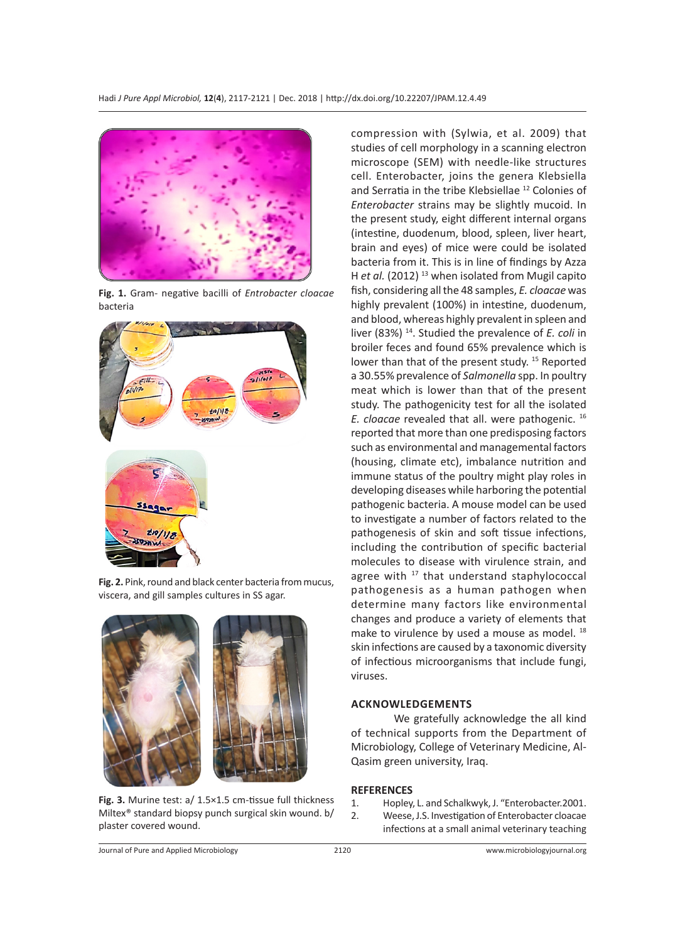

**Fig. 1.** Gram- negative bacilli of *Entrobacter cloacae* bacteria



**Fig. 2.** Pink, round and black center bacteria from mucus, viscera, and gill samples cultures in SS agar.



**Fig. 3.** Murine test: a/ 1.5×1.5 cm-tissue full thickness Miltex® standard biopsy punch surgical skin wound. b/ plaster covered wound.

compression with (Sylwia, et al. 2009) that studies of cell morphology in a scanning electron microscope (SEM) with needle-like structures cell. Enterobacter, joins the genera Klebsiella and Serratia in the tribe Klebsiellae<sup>12</sup> Colonies of *Enterobacter* strains may be slightly mucoid. In the present study, eight different internal organs (intestine, duodenum, blood, spleen, liver heart, brain and eyes) of mice were could be isolated bacteria from it. This is in line of findings by Azza H et al. (2012)<sup>13</sup> when isolated from Mugil capito fish, considering all the 48 samples, *E. cloacae* was highly prevalent (100%) in intestine, duodenum, and blood, whereas highly prevalent in spleen and liver (83%) 14. Studied the prevalence of *E. coli* in broiler feces and found 65% prevalence which is lower than that of the present study.<sup>15</sup> Reported a 30.55% prevalence of *Salmonella* spp. In poultry meat which is lower than that of the present study. The pathogenicity test for all the isolated *E. cloacae* revealed that all. were pathogenic. <sup>16</sup> reported that more than one predisposing factors such as environmental and managemental factors (housing, climate etc), imbalance nutrition and immune status of the poultry might play roles in developing diseases while harboring the potential pathogenic bacteria. A mouse model can be used to investigate a number of factors related to the pathogenesis of skin and soft tissue infections, including the contribution of specific bacterial molecules to disease with virulence strain, and agree with <sup>17</sup> that understand staphylococcal pathogenesis as a human pathogen when determine many factors like environmental changes and produce a variety of elements that make to virulence by used a mouse as model. <sup>18</sup> skin infections are caused by a taxonomic diversity of infectious microorganisms that include fungi, viruses.

#### **ACKNOWLEDGEMENTS**

We gratefully acknowledge the all kind of technical supports from the Department of Microbiology, College of Veterinary Medicine, Al-Qasim green university, Iraq.

### **REFERENCES**

- 1. Hopley, L. and Schalkwyk, J. "Enterobacter.2001.
- 2. Weese, J.S. Investigation of Enterobacter cloacae infections at a small animal veterinary teaching

Journal of Pure and Applied Microbiology